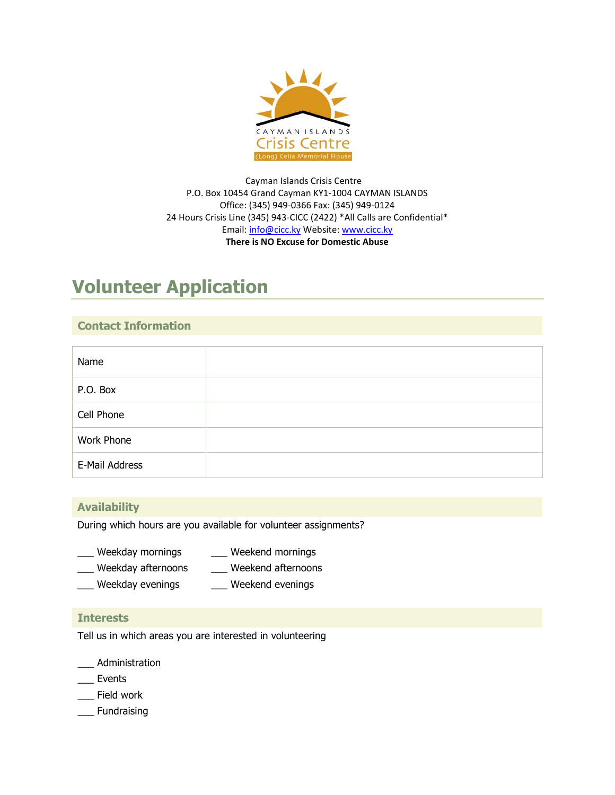

Cayman Islands Crisis Centre P.O. Box 10454 Grand Cayman KY1-1004 CAYMAN ISLANDS Office: (345) 949-0366 Fax: (345) 949-0124 24 Hours Crisis Line (345) 943-CICC (2422) \*All Calls are Confidential\* Email: [info@cicc.ky](mailto:info@cicc.ky) Website[: www.cicc.ky](http://www.cicc.ky/) **There is NO Excuse for Domestic Abuse**

# **Volunteer Application**

# **Contact Information**

| Name           |  |
|----------------|--|
| P.O. Box       |  |
| Cell Phone     |  |
| Work Phone     |  |
| E-Mail Address |  |

#### **Availability**

During which hours are you available for volunteer assignments?

- \_\_\_ Weekday mornings \_\_\_ Weekend mornings
- \_\_\_ Weekday afternoons \_\_\_ Weekend afternoons
- \_\_\_ Weekday evenings \_\_\_ Weekend evenings

#### **Interests**

Tell us in which areas you are interested in volunteering

\_\_\_ Administration

- \_\_\_ Events
- \_\_\_ Field work
- \_\_\_ Fundraising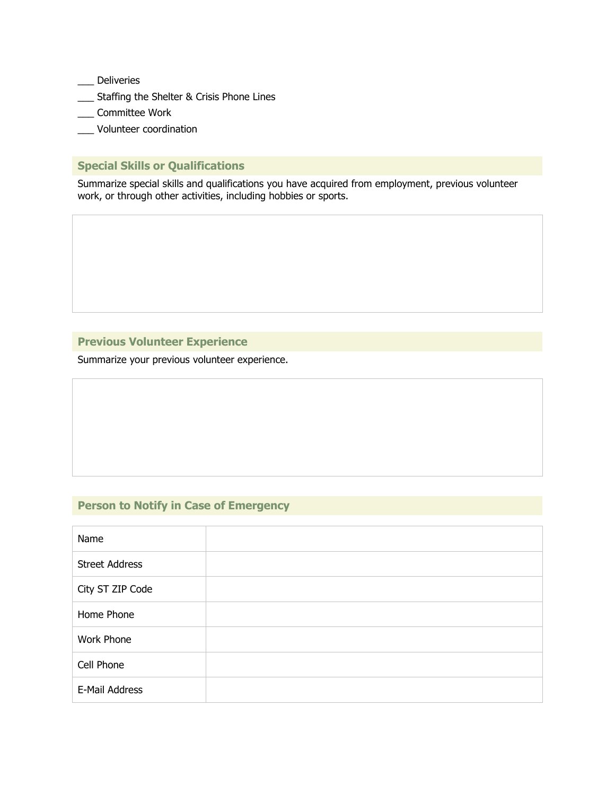\_\_\_ Deliveries

- \_\_\_ Staffing the Shelter & Crisis Phone Lines
- \_\_\_ Committee Work
- \_\_\_ Volunteer coordination

# **Special Skills or Qualifications**

Summarize special skills and qualifications you have acquired from employment, previous volunteer work, or through other activities, including hobbies or sports.

## **Previous Volunteer Experience**

Summarize your previous volunteer experience.

# **Person to Notify in Case of Emergency**

| Name                  |  |
|-----------------------|--|
| <b>Street Address</b> |  |
| City ST ZIP Code      |  |
| Home Phone            |  |
| Work Phone            |  |
| Cell Phone            |  |
| E-Mail Address        |  |